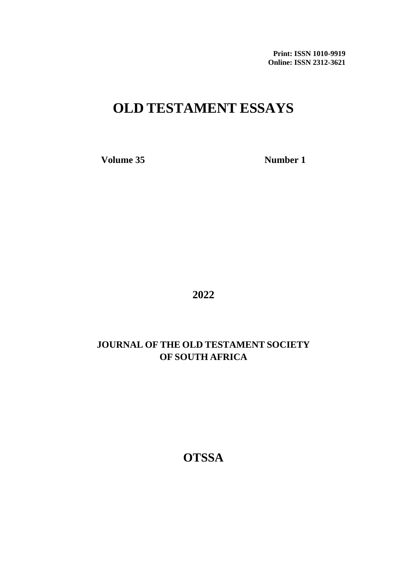**Print: ISSN 1010-9919 Online: ISSN 2312-3621**

## **OLD TESTAMENT ESSAYS**

**Volume 35 Number 1** 

**2022**

### **JOURNAL OF THE OLD TESTAMENT SOCIETY OF SOUTH AFRICA**

**OTSSA**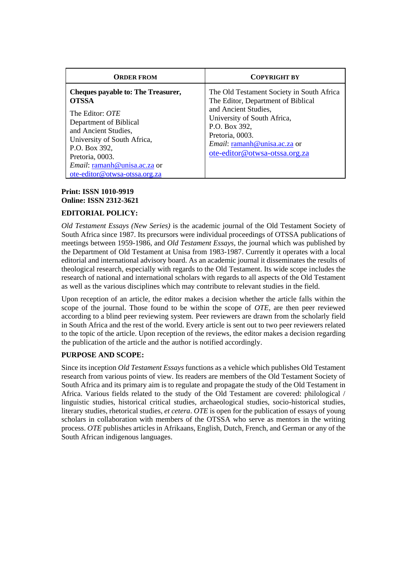| <b>ORDER FROM</b>                                                                                                                                                                                                                                                                | <b>COPYRIGHT BY</b>                                                                                                                                                                                                                         |
|----------------------------------------------------------------------------------------------------------------------------------------------------------------------------------------------------------------------------------------------------------------------------------|---------------------------------------------------------------------------------------------------------------------------------------------------------------------------------------------------------------------------------------------|
| <b>Cheques payable to: The Treasurer,</b><br><b>OTSSA</b><br>The Editor: <i>OTE</i><br>Department of Biblical<br>and Ancient Studies,<br>University of South Africa,<br>P.O. Box 392,<br>Pretoria, 0003.<br><i>Email:</i> ramanh@unisa.ac.za or<br>ote-editor@otwsa-otssa.org.za | The Old Testament Society in South Africa<br>The Editor, Department of Biblical<br>and Ancient Studies,<br>University of South Africa,<br>P.O. Box 392,<br>Pretoria, 0003.<br>Email: ramanh@unisa.ac.za or<br>ote-editor@otwsa-otssa.org.za |

#### **Print: ISSN 1010-9919 Online: ISSN 2312-3621**

#### **EDITORIAL POLICY:**

*Old Testament Essays (New Series)* is the academic journal of the Old Testament Society of South Africa since 1987. Its precursors were individual proceedings of OTSSA publications of meetings between 1959-1986, and *Old Testament Essays,* the journal which was published by the Department of Old Testament at Unisa from 1983-1987. Currently it operates with a local editorial and international advisory board. As an academic journal it disseminates the results of theological research, especially with regards to the Old Testament. Its wide scope includes the research of national and international scholars with regards to all aspects of the Old Testament as well as the various disciplines which may contribute to relevant studies in the field.

Upon reception of an article, the editor makes a decision whether the article falls within the scope of the journal. Those found to be within the scope of *OTE*, are then peer reviewed according to a blind peer reviewing system. Peer reviewers are drawn from the scholarly field in South Africa and the rest of the world. Every article is sent out to two peer reviewers related to the topic of the article. Upon reception of the reviews, the editor makes a decision regarding the publication of the article and the author is notified accordingly.

#### **PURPOSE AND SCOPE:**

Since its inception *Old Testament Essays* functions as a vehicle which publishes Old Testament research from various points of view. Its readers are members of the Old Testament Society of South Africa and its primary aim is to regulate and propagate the study of the Old Testament in Africa. Various fields related to the study of the Old Testament are covered: philological / linguistic studies, historical critical studies, archaeological studies, socio-historical studies, literary studies, rhetorical studies, *et cetera*. *OTE* is open for the publication of essays of young scholars in collaboration with members of the OTSSA who serve as mentors in the writing process. *OTE* publishes articles in Afrikaans, English, Dutch, French, and German or any of the South African indigenous languages.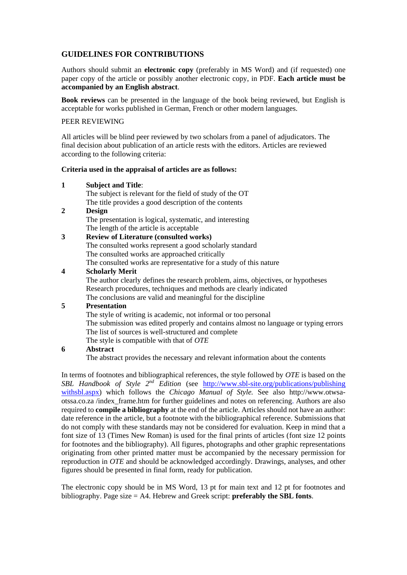#### **GUIDELINES FOR CONTRIBUTIONS**

Authors should submit an **electronic copy** (preferably in MS Word) and (if requested) one paper copy of the article or possibly another electronic copy, in PDF. **Each article must be accompanied by an English abstract**.

**Book reviews** can be presented in the language of the book being reviewed, but English is acceptable for works published in German, French or other modern languages.

#### PEER REVIEWING

All articles will be blind peer reviewed by two scholars from a panel of adjudicators. The final decision about publication of an article rests with the editors. Articles are reviewed according to the following criteria:

#### **Criteria used in the appraisal of articles are as follows:**

| 1                | <b>Subject and Title:</b>                                                           |
|------------------|-------------------------------------------------------------------------------------|
|                  | The subject is relevant for the field of study of the OT                            |
|                  | The title provides a good description of the contents                               |
| 2                | Design                                                                              |
|                  | The presentation is logical, systematic, and interesting                            |
|                  | The length of the article is acceptable                                             |
| 3                | <b>Review of Literature (consulted works)</b>                                       |
|                  | The consulted works represent a good scholarly standard                             |
|                  | The consulted works are approached critically                                       |
|                  | The consulted works are representative for a study of this nature                   |
| $\boldsymbol{4}$ | <b>Scholarly Merit</b>                                                              |
|                  | The author clearly defines the research problem, aims, objectives, or hypotheses    |
|                  | Research procedures, techniques and methods are clearly indicated                   |
|                  | The conclusions are valid and meaningful for the discipline                         |
| 5                | <b>Presentation</b>                                                                 |
|                  | The style of writing is academic, not informal or too personal                      |
|                  | The submission was edited properly and contains almost no language or typing errors |
|                  | The list of sources is well-structured and complete                                 |
|                  | The style is compatible with that of OTE                                            |
|                  | $\blacksquare$                                                                      |

#### **6 Abstract**

The abstract provides the necessary and relevant information about the contents

In terms of footnotes and bibliographical references, the style followed by *OTE* is based on the *SBL Handbook of Style 2<sup>nd</sup> Edition* (see http://www.sbl-site.org/publications/publishing [withsbl.aspx\)](http://www.sbl-site.org/publications/publishing%20withsbl.aspx) which follows the *Chicago Manual of Style.* See also http://www.otwsaotssa.co.za /index\_frame.htm for further guidelines and notes on referencing. Authors are also required to **compile a bibliography** at the end of the article. Articles should not have an author: date reference in the article, but a footnote with the bibliographical reference. Submissions that do not comply with these standards may not be considered for evaluation. Keep in mind that a font size of 13 (Times New Roman) is used for the final prints of articles (font size 12 points for footnotes and the bibliography). All figures, photographs and other graphic representations originating from other printed matter must be accompanied by the necessary permission for reproduction in *OTE* and should be acknowledged accordingly. Drawings, analyses, and other figures should be presented in final form, ready for publication.

The electronic copy should be in MS Word, 13 pt for main text and 12 pt for footnotes and bibliography. Page size = A4. Hebrew and Greek script: **preferably the SBL fonts**.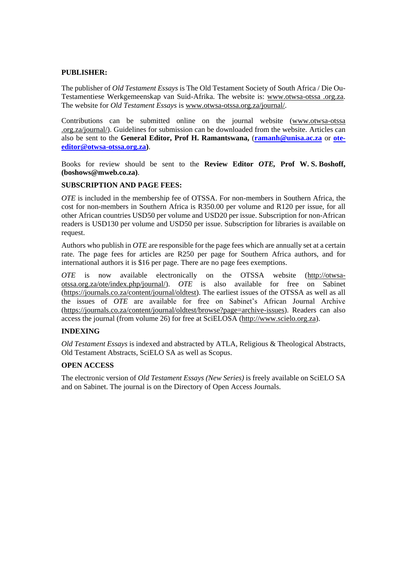#### **PUBLISHER:**

The publisher of *Old Testament Essays* is The Old Testament Society of South Africa / Die Ou-Testamentiese Werkgemeenskap van Suid-Afrika. The website is: www.otwsa-otssa .org.za. The website for *Old Testament Essays* is [www.otwsa-otssa.org.za/journal/.](http://www.otwsa-otssa.org.za/journal/)

Contributions can be submitted online on the journal website (www.otwsa-otssa .org.za/journal/). Guidelines for submission can be downloaded from the website. Articles can also be sent to the **General Editor, Prof H. Ramantswana,** (**[ramanh@unisa.ac.za](mailto:ramanh@unisa.ac.za)** or **[ote](mailto:ote-editor@otwsa-otssa.org.za)[editor@otwsa-otssa.org.za\)](mailto:ote-editor@otwsa-otssa.org.za)**.

Books for review should be sent to the **Review Editor** *OTE,* **Prof W. S. Boshoff, (boshows@mweb.co.za)**.

#### **SUBSCRIPTION AND PAGE FEES:**

*OTE* is included in the membership fee of OTSSA. For non-members in Southern Africa, the cost for non-members in Southern Africa is R350.00 per volume and R120 per issue, for all other African countries USD50 per volume and USD20 per issue. Subscription for non-African readers is USD130 per volume and USD50 per issue. Subscription for libraries is available on request.

Authors who publish in *OTE* are responsible for the page fees which are annually set at a certain rate. The page fees for articles are R250 per page for Southern Africa authors, and for international authors it is \$16 per page. There are no page fees exemptions.

*OTE* is now available electronically on the OTSSA website [\(http://otwsa](http://otwsa-otssa.org.za/ote/index.php/journal/)[otssa.org.za/ote/index.php/journal/\)](http://otwsa-otssa.org.za/ote/index.php/journal/). *OTE* is also available for free on Sabinet [\(https://journals.co.za/content/journal/oldtest\)](https://journals.co.za/content/journal/oldtest). The earliest issues of the OTSSA as well as all the issues of *OTE* are available for free on Sabinet's African Journal Archive [\(https://journals.co.za/content/journal/oldtest/browse?page=archive-issues\)](https://journals.co.za/content/journal/oldtest/browse?page=archive-issues). Readers can also access the journal (from volume 26) for free at SciELOSA [\(http://www.scielo.org.za\)](http://www.scielo.org.za/).

#### **INDEXING**

*Old Testament Essays* is indexed and abstracted by ATLA, Religious & Theological Abstracts, Old Testament Abstracts, SciELO SA as well as Scopus.

#### **OPEN ACCESS**

The electronic version of *Old Testament Essays (New Series)* is freely available on SciELO SA and on Sabinet. The journal is on the Directory of Open Access Journals.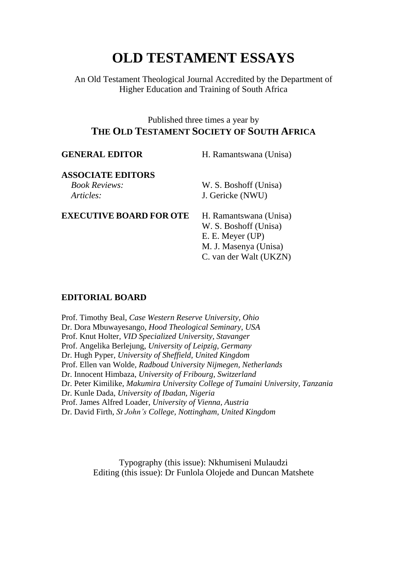# **OLD TESTAMENT ESSAYS**

An Old Testament Theological Journal Accredited by the Department of Higher Education and Training of South Africa

### Published three times a year by **THE OLD TESTAMENT SOCIETY OF SOUTH AFRICA**

| <b>GENERAL EDITOR</b>          | H. Ramantswana (Unisa) |
|--------------------------------|------------------------|
| <b>ASSOCIATE EDITORS</b>       |                        |
| <b>Book Reviews:</b>           | W. S. Boshoff (Unisa)  |
| Articles:                      | J. Gericke (NWU)       |
| <b>EXECUTIVE BOARD FOR OTE</b> | H. Ramantswana (Unisa) |
|                                | W. S. Boshoff (Unisa)  |
|                                | E. E. Meyer (UP)       |
|                                | M. J. Masenya (Unisa)  |
|                                | C. van der Walt (UKZN) |
|                                |                        |
|                                |                        |

### **EDITORIAL BOARD**

Prof. Timothy Beal, *Case Western Reserve University, Ohio* Dr. Dora Mbuwayesango, *Hood Theological Seminary, USA* Prof. Knut Holter, *VID Specialized University, Stavanger* Prof. Angelika Berlejung, *University of Leipzig, Germany* Dr. Hugh Pyper, *University of Sheffield, United Kingdom* Prof. Ellen van Wolde, *Radboud University Nijmegen, Netherlands* Dr. Innocent Himbaza, *University of Fribourg, Switzerland* Dr. Peter Kimilike, *Makumira University College of Tumaini University, Tanzania* Dr. Kunle Dada, *University of Ibadan, Nigeria* Prof. James Alfred Loader, *University of Vienna, Austria* Dr. David Firth, *St John's College, Nottingham, United Kingdom*

> Typography (this issue): Nkhumiseni Mulaudzi Editing (this issue): Dr Funlola Olojede and Duncan Matshete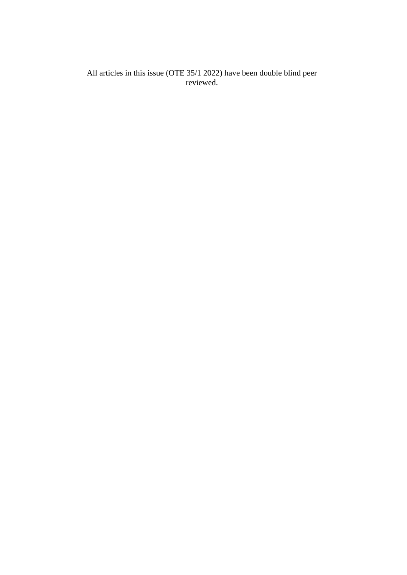All articles in this issue (OTE 35/1 2022) have been double blind peer reviewed.